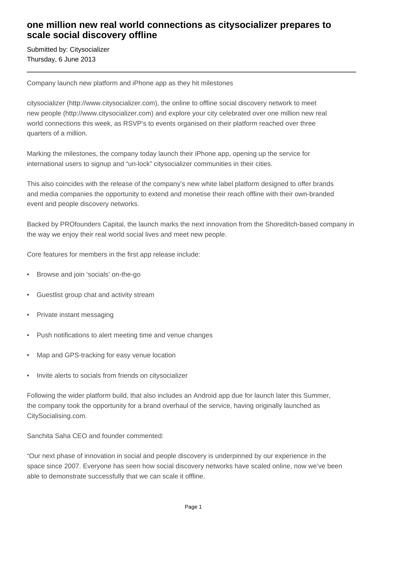## **one million new real world connections as citysocializer prepares to scale social discovery offline**

Submitted by: Citysocializer Thursday, 6 June 2013

Company launch new platform and iPhone app as they hit milestones

citysocializer (http://www.citysocializer.com), the online to offline social discovery network to meet new people (http://www.citysocializer.com) and explore your city celebrated over one million new real world connections this week, as RSVP's to events organised on their platform reached over three quarters of a million.

Marking the milestones, the company today launch their iPhone app, opening up the service for international users to signup and "un-lock" citysocializer communities in their cities.

This also coincides with the release of the company's new white label platform designed to offer brands and media companies the opportunity to extend and monetise their reach offline with their own-branded event and people discovery networks.

Backed by PROfounders Capital, the launch marks the next innovation from the Shoreditch-based company in the way we enjoy their real world social lives and meet new people.

Core features for members in the first app release include:

- Browse and join 'socials' on-the-go
- Guestlist group chat and activity stream
- Private instant messaging
- Push notifications to alert meeting time and venue changes
- Map and GPS-tracking for easy venue location
- Invite alerts to socials from friends on citysocializer

Following the wider platform build, that also includes an Android app due for launch later this Summer, the company took the opportunity for a brand overhaul of the service, having originally launched as CitySocialising.com.

Sanchita Saha CEO and founder commented:

"Our next phase of innovation in social and people discovery is underpinned by our experience in the space since 2007. Everyone has seen how social discovery networks have scaled online, now we've been able to demonstrate successfully that we can scale it offline.